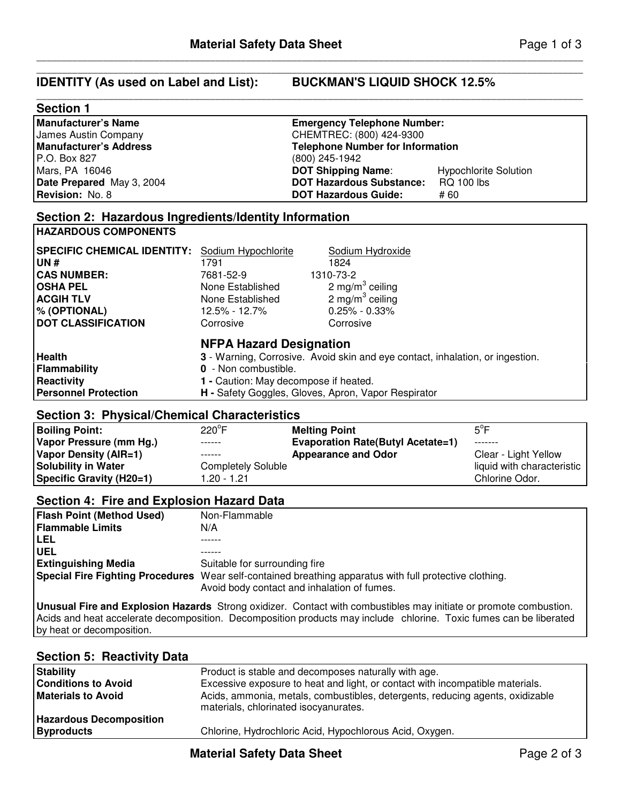# **Section 1**

| <b>Manufacturer's Name</b>    | <b>Emergency Telephone Number:</b>      |                              |  |  |
|-------------------------------|-----------------------------------------|------------------------------|--|--|
| James Austin Company          | CHEMTREC: (800) 424-9300                |                              |  |  |
| <b>Manufacturer's Address</b> | <b>Telephone Number for Information</b> |                              |  |  |
| P.O. Box 827                  | (800) 245-1942                          |                              |  |  |
| Mars, PA 16046                | <b>DOT Shipping Name:</b>               | <b>Hypochlorite Solution</b> |  |  |
| Date Prepared May 3, 2004     | <b>DOT Hazardous Substance:</b>         | <b>RQ 100 lbs</b>            |  |  |
| Revision: No. 8               | <b>DOT Hazardous Guide:</b>             | # 60                         |  |  |
|                               |                                         |                              |  |  |

\_\_\_\_\_\_\_\_\_\_\_\_\_\_\_\_\_\_\_\_\_\_\_\_\_\_\_\_\_\_\_\_\_\_\_\_\_\_\_\_\_\_\_\_\_\_\_\_\_\_\_\_\_\_\_\_\_\_\_\_\_\_\_\_\_\_\_\_\_\_\_\_\_\_\_\_\_\_\_\_\_\_\_\_\_\_\_\_\_\_\_\_\_\_\_\_\_\_\_\_\_\_\_\_\_\_\_

\_\_\_\_\_\_\_\_\_\_\_\_\_\_\_\_\_\_\_\_\_\_\_\_\_\_\_\_\_\_\_\_\_\_\_\_\_\_\_\_\_\_\_\_\_\_\_\_\_\_\_\_\_\_\_\_\_\_\_\_\_\_\_\_\_\_\_\_\_\_\_\_\_\_\_\_\_\_\_\_\_\_\_\_\_\_\_\_\_\_\_\_\_\_\_\_\_\_\_\_\_\_\_\_\_\_\_

## **Section 2: Hazardous Ingredients/Identity Information HAZARDOUS COMPONENTS**

| <b>SPECIFIC CHEMICAL IDENTITY:</b>                                         | Sodium Hypochlorite                                                                             | Sodium Hydroxide                                                                                                                     |
|----------------------------------------------------------------------------|-------------------------------------------------------------------------------------------------|--------------------------------------------------------------------------------------------------------------------------------------|
| <b>UN#</b>                                                                 | 1791                                                                                            | 1824                                                                                                                                 |
| <b>CAS NUMBER:</b>                                                         | 7681-52-9                                                                                       | 1310-73-2                                                                                                                            |
| <b>OSHA PEL</b>                                                            | None Established                                                                                | 2 mg/m <sup>3</sup> ceiling                                                                                                          |
| <b>ACGIH TLV</b>                                                           | None Established                                                                                | 2 mg/m <sup>3</sup> ceiling                                                                                                          |
| $\%$ (OPTIONAL)                                                            | 12.5% - 12.7%                                                                                   | $0.25\% - 0.33\%$                                                                                                                    |
| <b>DOT CLASSIFICATION</b>                                                  | Corrosive                                                                                       | Corrosive                                                                                                                            |
| <b>Health</b><br>Flammability<br>Reactivity<br><b>Personnel Protection</b> | <b>NFPA Hazard Designation</b><br>0 - Non combustible.<br>1 - Caution: May decompose if heated. | 3 - Warning, Corrosive. Avoid skin and eye contact, inhalation, or ingestion.<br>H - Safety Goggles, Gloves, Apron, Vapor Respirator |

# **Section 3: Physical/Chemical Characteristics**

| <b>Boiling Point:</b>           | $220^{\circ}$ F    | <b>Melting Point</b>                     | $5^{\circ}$ F              |
|---------------------------------|--------------------|------------------------------------------|----------------------------|
| Vapor Pressure (mm Hg.)         | ------             | <b>Evaporation Rate(Butyl Acetate=1)</b> | --------                   |
| Vapor Density (AIR=1)           | ------             | <b>Appearance and Odor</b>               | Clear - Light Yellow       |
| <b>Solubility in Water</b>      | Completely Soluble |                                          | liquid with characteristic |
| <b>Specific Gravity (H20=1)</b> | 1.20 - 1.21        |                                          | Chlorine Odor.             |

# **Section 4: Fire and Explosion Hazard Data**

| Non-Flammable                                                                                                                                          |
|--------------------------------------------------------------------------------------------------------------------------------------------------------|
| N/A                                                                                                                                                    |
|                                                                                                                                                        |
|                                                                                                                                                        |
| Suitable for surrounding fire                                                                                                                          |
| Special Fire Fighting Procedures Wear self-contained breathing apparatus with full protective clothing.<br>Avoid body contact and inhalation of fumes. |
|                                                                                                                                                        |

**Unusual Fire and Explosion Hazards** Strong oxidizer. Contact with combustibles may initiate or promote combustion. Acids and heat accelerate decomposition. Decomposition products may include chlorine. Toxic fumes can be liberated by heat or decomposition.

# **Section 5: Reactivity Data**

| <b>Byproducts</b>              | Chlorine, Hydrochloric Acid, Hypochlorous Acid, Oxygen.                       |
|--------------------------------|-------------------------------------------------------------------------------|
| <b>Hazardous Decomposition</b> |                                                                               |
|                                | materials, chlorinated isocyanurates.                                         |
| <b>Materials to Avoid</b>      | Acids, ammonia, metals, combustibles, detergents, reducing agents, oxidizable |
| <b>Conditions to Avoid</b>     | Excessive exposure to heat and light, or contact with incompatible materials. |
| <b>Stability</b>               | Product is stable and decomposes naturally with age.                          |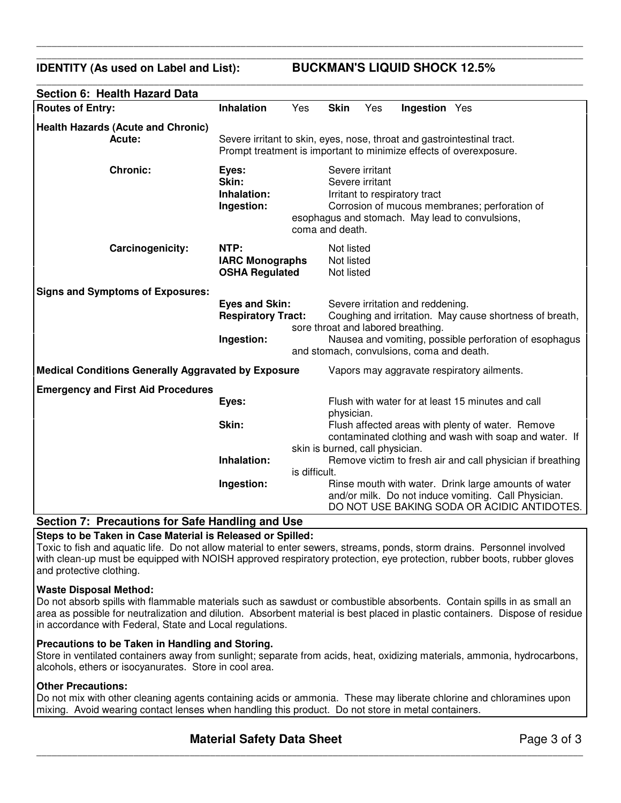**IDENTITY (As used on Label and List): BUCKMAN'S LIQUID SHOCK 12.5%**

| Section 6: Health Hazard Data                              |                                                                                                                                               |               |                                        |                 |                                                                                                                     |                                                                                                                                                             |
|------------------------------------------------------------|-----------------------------------------------------------------------------------------------------------------------------------------------|---------------|----------------------------------------|-----------------|---------------------------------------------------------------------------------------------------------------------|-------------------------------------------------------------------------------------------------------------------------------------------------------------|
| <b>Routes of Entry:</b>                                    | <b>Inhalation</b>                                                                                                                             | Yes           | <b>Skin</b>                            | Yes             | <b>Ingestion</b> Yes                                                                                                |                                                                                                                                                             |
| <b>Health Hazards (Acute and Chronic)</b><br>Acute:        | Severe irritant to skin, eyes, nose, throat and gastrointestinal tract.<br>Prompt treatment is important to minimize effects of overexposure. |               |                                        |                 |                                                                                                                     |                                                                                                                                                             |
| <b>Chronic:</b>                                            | Eyes:<br>Skin:<br>Inhalation:<br>Ingestion:                                                                                                   |               | Severe irritant<br>coma and death.     | Severe irritant | Irritant to respiratory tract                                                                                       | Corrosion of mucous membranes; perforation of<br>esophagus and stomach. May lead to convulsions,                                                            |
| Carcinogenicity:                                           | NTP:<br><b>IARC Monographs</b><br><b>OSHA Regulated</b>                                                                                       |               | Not listed<br>Not listed<br>Not listed |                 |                                                                                                                     |                                                                                                                                                             |
| <b>Signs and Symptoms of Exposures:</b>                    | <b>Eyes and Skin:</b><br><b>Respiratory Tract:</b><br>Ingestion:                                                                              |               |                                        |                 | Severe irritation and reddening.<br>sore throat and labored breathing.<br>and stomach, convulsions, coma and death. | Coughing and irritation. May cause shortness of breath,<br>Nausea and vomiting, possible perforation of esophagus                                           |
| <b>Medical Conditions Generally Aggravated by Exposure</b> |                                                                                                                                               |               |                                        |                 |                                                                                                                     | Vapors may aggravate respiratory ailments.                                                                                                                  |
| <b>Emergency and First Aid Procedures</b>                  |                                                                                                                                               |               |                                        |                 |                                                                                                                     |                                                                                                                                                             |
|                                                            | Eyes:                                                                                                                                         |               | physician.                             |                 |                                                                                                                     | Flush with water for at least 15 minutes and call                                                                                                           |
|                                                            | Skin:                                                                                                                                         |               | skin is burned, call physician.        |                 |                                                                                                                     | Flush affected areas with plenty of water. Remove<br>contaminated clothing and wash with soap and water. If                                                 |
|                                                            | Inhalation:                                                                                                                                   |               |                                        |                 |                                                                                                                     | Remove victim to fresh air and call physician if breathing                                                                                                  |
|                                                            |                                                                                                                                               | is difficult. |                                        |                 |                                                                                                                     |                                                                                                                                                             |
|                                                            | Ingestion:                                                                                                                                    |               |                                        |                 |                                                                                                                     | Rinse mouth with water. Drink large amounts of water<br>and/or milk. Do not induce vomiting. Call Physician.<br>DO NOT USE BAKING SODA OR ACIDIC ANTIDOTES. |

\_\_\_\_\_\_\_\_\_\_\_\_\_\_\_\_\_\_\_\_\_\_\_\_\_\_\_\_\_\_\_\_\_\_\_\_\_\_\_\_\_\_\_\_\_\_\_\_\_\_\_\_\_\_\_\_\_\_\_\_\_\_\_\_\_\_\_\_\_\_\_\_\_\_\_\_\_\_\_\_\_\_\_\_\_\_\_\_\_\_\_\_\_\_\_\_\_\_\_\_\_\_\_\_\_\_\_ \_\_\_\_\_\_\_\_\_\_\_\_\_\_\_\_\_\_\_\_\_\_\_\_\_\_\_\_\_\_\_\_\_\_\_\_\_\_\_\_\_\_\_\_\_\_\_\_\_\_\_\_\_\_\_\_\_\_\_\_\_\_\_\_\_\_\_\_\_\_\_\_\_\_\_\_\_\_\_\_\_\_\_\_\_\_\_\_\_\_\_\_\_\_\_\_\_\_\_\_\_\_\_\_\_\_\_

\_\_\_\_\_\_\_\_\_\_\_\_\_\_\_\_\_\_\_\_\_\_\_\_\_\_\_\_\_\_\_\_\_\_\_\_\_\_\_\_\_\_\_\_\_\_\_\_\_\_\_\_\_\_\_\_\_\_\_\_\_\_\_\_\_\_\_\_\_\_\_\_\_\_\_\_\_\_\_\_\_\_\_\_\_\_\_\_\_\_\_\_\_\_\_\_\_\_\_\_\_\_\_\_\_\_\_

# **Section 7: Precautions for Safe Handling and Use**

## **Steps to be Taken in Case Material is Released or Spilled:**

Toxic to fish and aquatic life. Do not allow material to enter sewers, streams, ponds, storm drains. Personnel involved with clean-up must be equipped with NOISH approved respiratory protection, eye protection, rubber boots, rubber gloves and protective clothing.

#### **Waste Disposal Method:**

Do not absorb spills with flammable materials such as sawdust or combustible absorbents. Contain spills in as small an area as possible for neutralization and dilution. Absorbent material is best placed in plastic containers. Dispose of residue in accordance with Federal, State and Local regulations.

#### **Precautions to be Taken in Handling and Storing.**

Store in ventilated containers away from sunlight; separate from acids, heat, oxidizing materials, ammonia, hydrocarbons, alcohols, ethers or isocyanurates. Store in cool area.

### **Other Precautions:**

Do not mix with other cleaning agents containing acids or ammonia. These may liberate chlorine and chloramines upon mixing. Avoid wearing contact lenses when handling this product. Do not store in metal containers.

\_\_\_\_\_\_\_\_\_\_\_\_\_\_\_\_\_\_\_\_\_\_\_\_\_\_\_\_\_\_\_\_\_\_\_\_\_\_\_\_\_\_\_\_\_\_\_\_\_\_\_\_\_\_\_\_\_\_\_\_\_\_\_\_\_\_\_\_\_\_\_\_\_\_\_\_\_\_\_\_\_\_\_\_\_\_\_\_\_\_\_\_\_\_\_\_\_\_\_\_\_\_\_\_\_\_\_